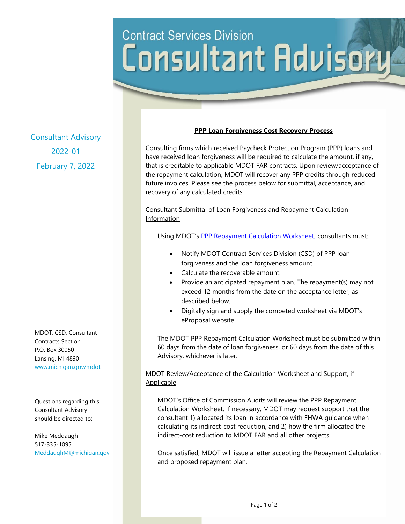# **Contract Services Division** Consultant Advisory

Consultant Advisory 2022-01 February 7, 2022

MDOT, CSD, Consultant Contracts Section P.O. Box 30050 Lansing, MI 4890 [www.michigan.gov/mdot](http://www.michigan.gov/mdot)

Questions regarding this Consultant Advisory should be directed to:

Mike Meddaugh 517-335-1095 [MeddaughM@michigan.gov](mailto:MeddaughM@michigan.gov)

#### **PPP Loan Forgiveness Cost Recovery Process**

Consulting firms which received Paycheck Protection Program (PPP) loans and have received loan forgiveness will be required to calculate the amount, if any, that is creditable to applicable MDOT FAR contracts. Upon review/acceptance of the repayment calculation, MDOT will recover any PPP credits through reduced future invoices. Please see the process below for submittal, acceptance, and recovery of any calculated credits.

Consultant Submittal of Loan Forgiveness and Repayment Calculation Information

Using MDOT's [PPP Repayment Calculation Worksheet,](https://www.michigan.gov/documents/mdot/ppp_repayment_calculation_worksheet_747366_7.xlsx) consultants must:

- Notify MDOT Contract Services Division (CSD) of PPP loan forgiveness and the loan forgiveness amount.
- Calculate the recoverable amount.
- Provide an anticipated repayment plan. The repayment(s) may not exceed 12 months from the date on the acceptance letter, as described below.
- Digitally sign and supply the competed worksheet via MDOT's eProposal website.

The MDOT PPP Repayment Calculation Worksheet must be submitted within 60 days from the date of loan forgiveness, or 60 days from the date of this Advisory, whichever is later.

## MDOT Review/Acceptance of the Calculation Worksheet and Support, if Applicable

MDOT's Office of Commission Audits will review the PPP Repayment Calculation Worksheet. If necessary, MDOT may request support that the consultant 1) allocated its loan in accordance with FHWA guidance when calculating its indirect-cost reduction, and 2) how the firm allocated the indirect-cost reduction to MDOT FAR and all other projects.

Once satisfied, MDOT will issue a letter accepting the Repayment Calculation and proposed repayment plan.